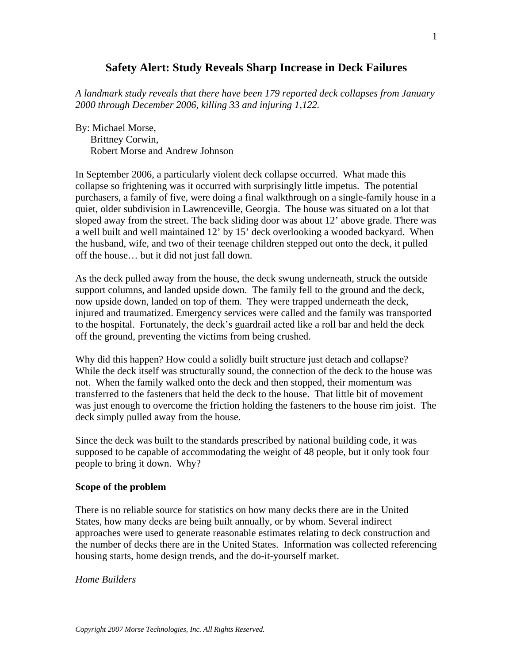# **Safety Alert: Study Reveals Sharp Increase in Deck Failures**

*A landmark study reveals that there have been 179 reported deck collapses from January 2000 through December 2006, killing 33 and injuring 1,122.* 

By: Michael Morse, Brittney Corwin, Robert Morse and Andrew Johnson

In September 2006, a particularly violent deck collapse occurred. What made this collapse so frightening was it occurred with surprisingly little impetus. The potential purchasers, a family of five, were doing a final walkthrough on a single-family house in a quiet, older subdivision in Lawrenceville, Georgia. The house was situated on a lot that sloped away from the street. The back sliding door was about 12' above grade. There was a well built and well maintained 12' by 15' deck overlooking a wooded backyard. When the husband, wife, and two of their teenage children stepped out onto the deck, it pulled off the house… but it did not just fall down.

As the deck pulled away from the house, the deck swung underneath, struck the outside support columns, and landed upside down. The family fell to the ground and the deck, now upside down, landed on top of them. They were trapped underneath the deck, injured and traumatized. Emergency services were called and the family was transported to the hospital. Fortunately, the deck's guardrail acted like a roll bar and held the deck off the ground, preventing the victims from being crushed.

Why did this happen? How could a solidly built structure just detach and collapse? While the deck itself was structurally sound, the connection of the deck to the house was not. When the family walked onto the deck and then stopped, their momentum was transferred to the fasteners that held the deck to the house. That little bit of movement was just enough to overcome the friction holding the fasteners to the house rim joist. The deck simply pulled away from the house.

Since the deck was built to the standards prescribed by national building code, it was supposed to be capable of accommodating the weight of 48 people, but it only took four people to bring it down. Why?

#### **Scope of the problem**

There is no reliable source for statistics on how many decks there are in the United States, how many decks are being built annually, or by whom. Several indirect approaches were used to generate reasonable estimates relating to deck construction and the number of decks there are in the United States. Information was collected referencing housing starts, home design trends, and the do-it-yourself market.

*Home Builders*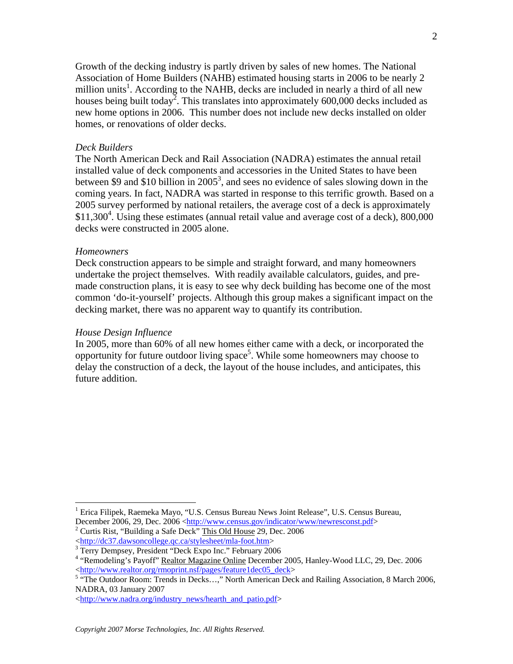Growth of the decking industry is partly driven by sales of new homes. The National Association of Home Builders (NAHB) estimated housing starts in 2006 to be nearly 2 million units<sup>1</sup>. According to the NAHB, decks are included in nearly a third of all new houses being built today<sup>2</sup>. This translates into approximately 600,000 decks included as new home options in 2006. This number does not include new decks installed on older homes, or renovations of older decks.

#### *Deck Builders*

The North American Deck and Rail Association (NADRA) estimates the annual retail installed value of deck components and accessories in the United States to have been between \$9 and \$10 billion in 2005<sup>3</sup>, and sees no evidence of sales slowing down in the coming years. In fact, NADRA was started in response to this terrific growth. Based on a 2005 survey performed by national retailers, the average cost of a deck is approximately \$11,300<sup>4</sup>. Using these estimates (annual retail value and average cost of a deck), 800,000 decks were constructed in 2005 alone.

#### *Homeowners*

 $\overline{a}$ 

Deck construction appears to be simple and straight forward, and many homeowners undertake the project themselves. With readily available calculators, guides, and premade construction plans, it is easy to see why deck building has become one of the most common 'do-it-yourself' projects. Although this group makes a significant impact on the decking market, there was no apparent way to quantify its contribution.

#### *House Design Influence*

In 2005, more than 60% of all new homes either came with a deck, or incorporated the opportunity for future outdoor living  $space^5$ . While some homeowners may choose to delay the construction of a deck, the layout of the house includes, and anticipates, this future addition.

<sup>&</sup>lt;sup>1</sup> Erica Filipek, Raemeka Mayo, "U.S. Census Bureau News Joint Release", U.S. Census Bureau, December 2006, 29, Dec. 2006 <http://www.census.gov/indicator/www/newresconst.pdf>

<sup>&</sup>lt;sup>2</sup> Curtis Rist, "Building a Safe Deck" This Old House 29, Dec. 2006 <http://dc37.dawsoncollege.qc.ca/stylesheet/mla-foot.htm> 3

<sup>&</sup>lt;sup>3</sup> Terry Dempsey, President "Deck Expo Inc." February 2006

<sup>&</sup>lt;sup>4</sup> "Remodeling's Payoff" Realtor Magazine Online December 2005, Hanley-Wood LLC, 29, Dec. 2006 <http://www.realtor.org/rmoprint.nsf/pages/feature1dec05\_deck><br><sup>5</sup> "The Outdoor Room: Trends in Decks...," North American Deck and Railing Association, 8 March 2006,

NADRA, 03 January 2007

<sup>&</sup>lt;http://www.nadra.org/industry\_news/hearth\_and\_patio.pdf>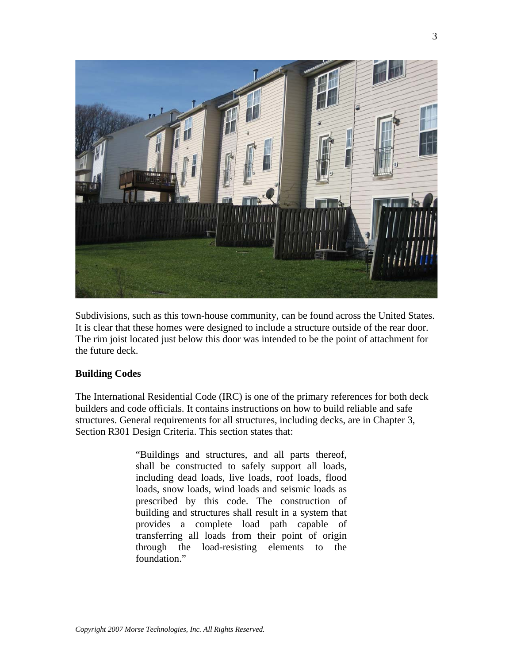

Subdivisions, such as this town-house community, can be found across the United States. It is clear that these homes were designed to include a structure outside of the rear door. The rim joist located just below this door was intended to be the point of attachment for the future deck.

## **Building Codes**

The International Residential Code (IRC) is one of the primary references for both deck builders and code officials. It contains instructions on how to build reliable and safe structures. General requirements for all structures, including decks, are in Chapter 3, Section R301 Design Criteria. This section states that:

> "Buildings and structures, and all parts thereof, shall be constructed to safely support all loads, including dead loads, live loads, roof loads, flood loads, snow loads, wind loads and seismic loads as prescribed by this code. The construction of building and structures shall result in a system that provides a complete load path capable of transferring all loads from their point of origin through the load-resisting elements to the foundation."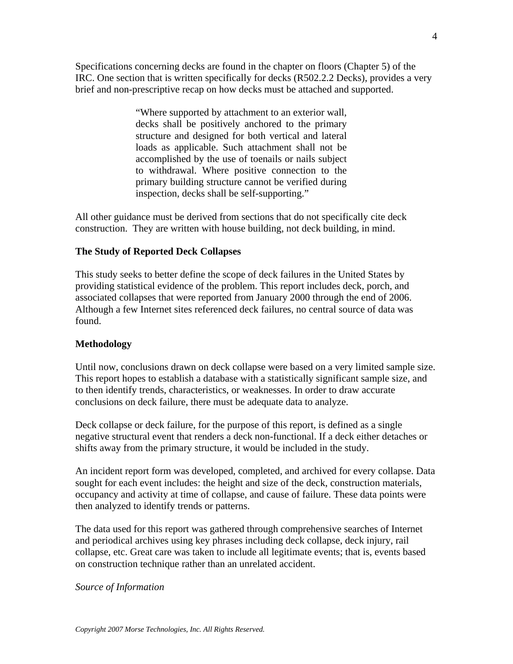Specifications concerning decks are found in the chapter on floors (Chapter 5) of the IRC. One section that is written specifically for decks (R502.2.2 Decks), provides a very brief and non-prescriptive recap on how decks must be attached and supported.

> "Where supported by attachment to an exterior wall, decks shall be positively anchored to the primary structure and designed for both vertical and lateral loads as applicable. Such attachment shall not be accomplished by the use of toenails or nails subject to withdrawal. Where positive connection to the primary building structure cannot be verified during inspection, decks shall be self-supporting."

All other guidance must be derived from sections that do not specifically cite deck construction. They are written with house building, not deck building, in mind.

## **The Study of Reported Deck Collapses**

This study seeks to better define the scope of deck failures in the United States by providing statistical evidence of the problem. This report includes deck, porch, and associated collapses that were reported from January 2000 through the end of 2006. Although a few Internet sites referenced deck failures, no central source of data was found.

## **Methodology**

Until now, conclusions drawn on deck collapse were based on a very limited sample size. This report hopes to establish a database with a statistically significant sample size, and to then identify trends, characteristics, or weaknesses. In order to draw accurate conclusions on deck failure, there must be adequate data to analyze.

Deck collapse or deck failure, for the purpose of this report, is defined as a single negative structural event that renders a deck non-functional. If a deck either detaches or shifts away from the primary structure, it would be included in the study.

An incident report form was developed, completed, and archived for every collapse. Data sought for each event includes: the height and size of the deck, construction materials, occupancy and activity at time of collapse, and cause of failure. These data points were then analyzed to identify trends or patterns.

The data used for this report was gathered through comprehensive searches of Internet and periodical archives using key phrases including deck collapse, deck injury, rail collapse, etc. Great care was taken to include all legitimate events; that is, events based on construction technique rather than an unrelated accident.

*Source of Information*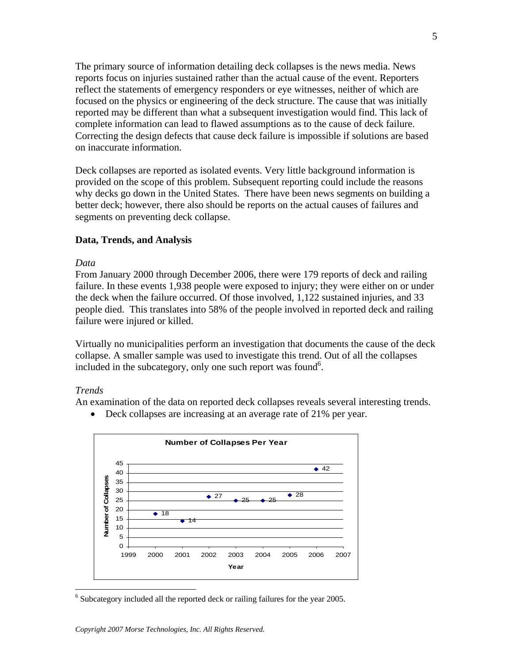The primary source of information detailing deck collapses is the news media. News reports focus on injuries sustained rather than the actual cause of the event. Reporters reflect the statements of emergency responders or eye witnesses, neither of which are focused on the physics or engineering of the deck structure. The cause that was initially reported may be different than what a subsequent investigation would find. This lack of complete information can lead to flawed assumptions as to the cause of deck failure. Correcting the design defects that cause deck failure is impossible if solutions are based on inaccurate information.

Deck collapses are reported as isolated events. Very little background information is provided on the scope of this problem. Subsequent reporting could include the reasons why decks go down in the United States. There have been news segments on building a better deck; however, there also should be reports on the actual causes of failures and segments on preventing deck collapse.

### **Data, Trends, and Analysis**

#### *Data*

From January 2000 through December 2006, there were 179 reports of deck and railing failure. In these events 1,938 people were exposed to injury; they were either on or under the deck when the failure occurred. Of those involved, 1,122 sustained injuries, and 33 people died. This translates into 58% of the people involved in reported deck and railing failure were injured or killed.

Virtually no municipalities perform an investigation that documents the cause of the deck collapse. A smaller sample was used to investigate this trend. Out of all the collapses included in the subcategory, only one such report was found<sup>6</sup>.

#### *Trends*

 $\overline{a}$ 

An examination of the data on reported deck collapses reveals several interesting trends.

• Deck collapses are increasing at an average rate of 21% per year.



<sup>&</sup>lt;sup>6</sup> Subcategory included all the reported deck or railing failures for the year 2005.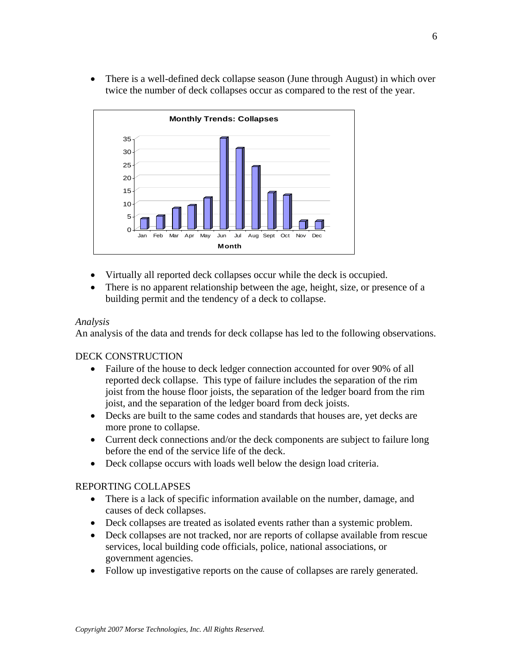• There is a well-defined deck collapse season (June through August) in which over twice the number of deck collapses occur as compared to the rest of the year.



- Virtually all reported deck collapses occur while the deck is occupied.
- There is no apparent relationship between the age, height, size, or presence of a building permit and the tendency of a deck to collapse.

### *Analysis*

An analysis of the data and trends for deck collapse has led to the following observations.

## DECK CONSTRUCTION

- Failure of the house to deck ledger connection accounted for over 90% of all reported deck collapse. This type of failure includes the separation of the rim joist from the house floor joists, the separation of the ledger board from the rim joist, and the separation of the ledger board from deck joists.
- Decks are built to the same codes and standards that houses are, yet decks are more prone to collapse.
- Current deck connections and/or the deck components are subject to failure long before the end of the service life of the deck.
- Deck collapse occurs with loads well below the design load criteria.

## REPORTING COLLAPSES

- There is a lack of specific information available on the number, damage, and causes of deck collapses.
- Deck collapses are treated as isolated events rather than a systemic problem.
- Deck collapses are not tracked, nor are reports of collapse available from rescue services, local building code officials, police, national associations, or government agencies.
- Follow up investigative reports on the cause of collapses are rarely generated.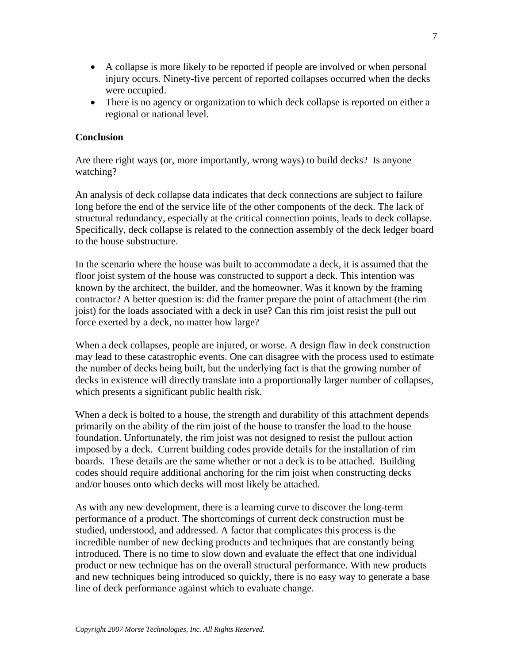- A collapse is more likely to be reported if people are involved or when personal injury occurs. Ninety-five percent of reported collapses occurred when the decks were occupied.
- There is no agency or organization to which deck collapse is reported on either a regional or national level.

## **Conclusion**

Are there right ways (or, more importantly, wrong ways) to build decks? Is anyone watching?

An analysis of deck collapse data indicates that deck connections are subject to failure long before the end of the service life of the other components of the deck. The lack of structural redundancy, especially at the critical connection points, leads to deck collapse. Specifically, deck collapse is related to the connection assembly of the deck ledger board to the house substructure.

In the scenario where the house was built to accommodate a deck, it is assumed that the floor joist system of the house was constructed to support a deck. This intention was known by the architect, the builder, and the homeowner. Was it known by the framing contractor? A better question is: did the framer prepare the point of attachment (the rim joist) for the loads associated with a deck in use? Can this rim joist resist the pull out force exerted by a deck, no matter how large?

When a deck collapses, people are injured, or worse. A design flaw in deck construction may lead to these catastrophic events. One can disagree with the process used to estimate the number of decks being built, but the underlying fact is that the growing number of decks in existence will directly translate into a proportionally larger number of collapses, which presents a significant public health risk.

When a deck is bolted to a house, the strength and durability of this attachment depends primarily on the ability of the rim joist of the house to transfer the load to the house foundation. Unfortunately, the rim joist was not designed to resist the pullout action imposed by a deck. Current building codes provide details for the installation of rim boards. These details are the same whether or not a deck is to be attached. Building codes should require additional anchoring for the rim joist when constructing decks and/or houses onto which decks will most likely be attached.

As with any new development, there is a learning curve to discover the long-term performance of a product. The shortcomings of current deck construction must be studied, understood, and addressed. A factor that complicates this process is the incredible number of new decking products and techniques that are constantly being introduced. There is no time to slow down and evaluate the effect that one individual product or new technique has on the overall structural performance. With new products and new techniques being introduced so quickly, there is no easy way to generate a base line of deck performance against which to evaluate change.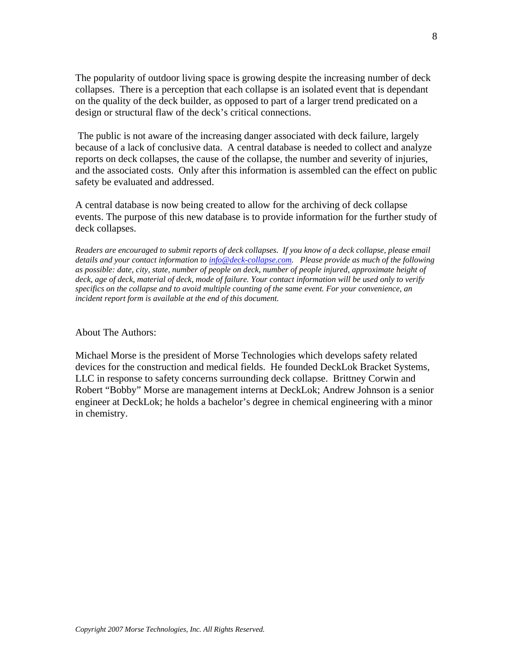The popularity of outdoor living space is growing despite the increasing number of deck collapses. There is a perception that each collapse is an isolated event that is dependant on the quality of the deck builder, as opposed to part of a larger trend predicated on a design or structural flaw of the deck's critical connections.

 The public is not aware of the increasing danger associated with deck failure, largely because of a lack of conclusive data. A central database is needed to collect and analyze reports on deck collapses, the cause of the collapse, the number and severity of injuries, and the associated costs. Only after this information is assembled can the effect on public safety be evaluated and addressed.

A central database is now being created to allow for the archiving of deck collapse events. The purpose of this new database is to provide information for the further study of deck collapses.

*Readers are encouraged to submit reports of deck collapses. If you know of a deck collapse, please email details and your contact information to info@deck-collapse.com. Please provide as much of the following as possible: date, city, state, number of people on deck, number of people injured, approximate height of deck, age of deck, material of deck, mode of failure. Your contact information will be used only to verify specifics on the collapse and to avoid multiple counting of the same event. For your convenience, an incident report form is available at the end of this document.*

About The Authors:

Michael Morse is the president of Morse Technologies which develops safety related devices for the construction and medical fields. He founded DeckLok Bracket Systems, LLC in response to safety concerns surrounding deck collapse. Brittney Corwin and Robert "Bobby" Morse are management interns at DeckLok; Andrew Johnson is a senior engineer at DeckLok; he holds a bachelor's degree in chemical engineering with a minor in chemistry.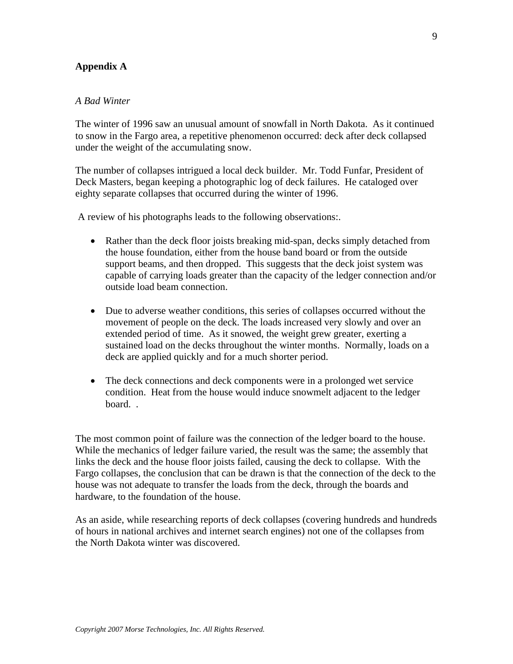## **Appendix A**

#### *A Bad Winter*

The winter of 1996 saw an unusual amount of snowfall in North Dakota. As it continued to snow in the Fargo area, a repetitive phenomenon occurred: deck after deck collapsed under the weight of the accumulating snow.

The number of collapses intrigued a local deck builder. Mr. Todd Funfar, President of Deck Masters, began keeping a photographic log of deck failures. He cataloged over eighty separate collapses that occurred during the winter of 1996.

A review of his photographs leads to the following observations:.

- Rather than the deck floor joists breaking mid-span, decks simply detached from the house foundation, either from the house band board or from the outside support beams, and then dropped. This suggests that the deck joist system was capable of carrying loads greater than the capacity of the ledger connection and/or outside load beam connection.
- Due to adverse weather conditions, this series of collapses occurred without the movement of people on the deck. The loads increased very slowly and over an extended period of time. As it snowed, the weight grew greater, exerting a sustained load on the decks throughout the winter months. Normally, loads on a deck are applied quickly and for a much shorter period.
- The deck connections and deck components were in a prolonged wet service condition. Heat from the house would induce snowmelt adjacent to the ledger board. .

The most common point of failure was the connection of the ledger board to the house. While the mechanics of ledger failure varied, the result was the same; the assembly that links the deck and the house floor joists failed, causing the deck to collapse. With the Fargo collapses, the conclusion that can be drawn is that the connection of the deck to the house was not adequate to transfer the loads from the deck, through the boards and hardware, to the foundation of the house.

As an aside, while researching reports of deck collapses (covering hundreds and hundreds of hours in national archives and internet search engines) not one of the collapses from the North Dakota winter was discovered.